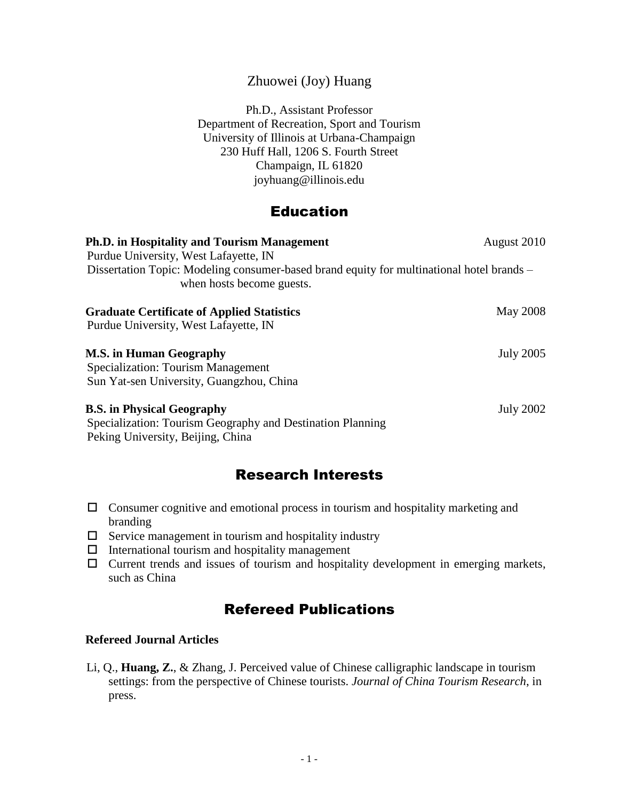## Zhuowei (Joy) Huang

Ph.D., Assistant Professor Department of Recreation, Sport and Tourism University of Illinois at Urbana-Champaign 230 Huff Hall, 1206 S. Fourth Street Champaign, IL 61820 joyhuang@illinois.edu

## **Education**

| Ph.D. in Hospitality and Tourism Management                                                                                                                     | August 2010      |
|-----------------------------------------------------------------------------------------------------------------------------------------------------------------|------------------|
| Purdue University, West Lafayette, IN<br>Dissertation Topic: Modeling consumer-based brand equity for multinational hotel brands –<br>when hosts become guests. |                  |
| <b>Graduate Certificate of Applied Statistics</b><br>Purdue University, West Lafayette, IN                                                                      | <b>May 2008</b>  |
| M.S. in Human Geography<br><b>Specialization: Tourism Management</b><br>Sun Yat-sen University, Guangzhou, China                                                | <b>July 2005</b> |
| <b>B.S. in Physical Geography</b><br>Specialization: Tourism Geography and Destination Planning<br>Peking University, Beijing, China                            | <b>July 2002</b> |

# Research Interests

- $\Box$  Consumer cognitive and emotional process in tourism and hospitality marketing and branding
- $\Box$  Service management in tourism and hospitality industry
- $\Box$  International tourism and hospitality management
- $\Box$  Current trends and issues of tourism and hospitality development in emerging markets, such as China

# Refereed Publications

#### **Refereed Journal Articles**

Li, Q., **Huang, Z.**, & Zhang, J. Perceived value of Chinese calligraphic landscape in tourism settings: from the perspective of Chinese tourists. *Journal of China Tourism Research*, in press.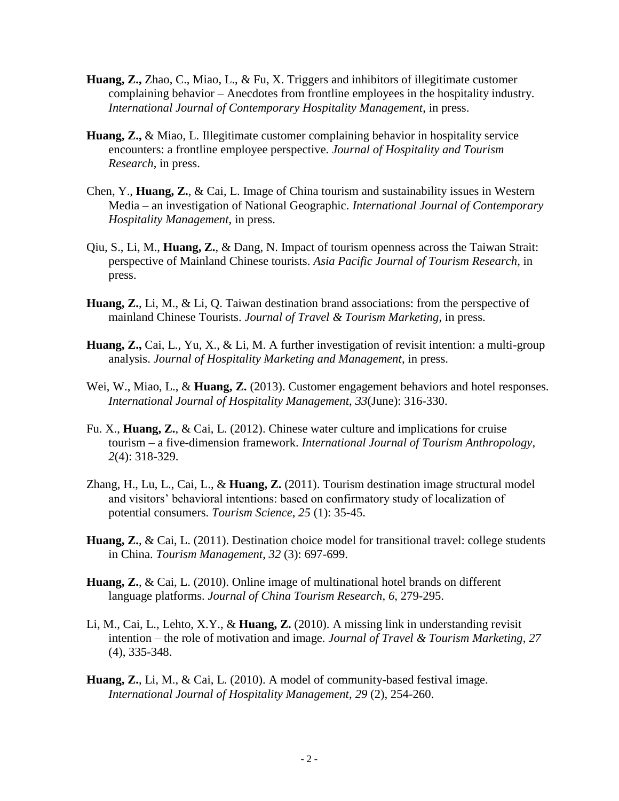- **Huang, Z.,** Zhao, C., Miao, L., & Fu, X. Triggers and inhibitors of illegitimate customer complaining behavior – Anecdotes from frontline employees in the hospitality industry. *International Journal of Contemporary Hospitality Management*, in press.
- **Huang, Z.,** & Miao, L. Illegitimate customer complaining behavior in hospitality service encounters: a frontline employee perspective*. Journal of Hospitality and Tourism Research*, in press.
- Chen, Y., **Huang, Z.**, & Cai, L. Image of China tourism and sustainability issues in Western Media – an investigation of National Geographic. *International Journal of Contemporary Hospitality Management*, in press.
- Qiu, S., Li, M., **Huang, Z.**, & Dang, N. Impact of tourism openness across the Taiwan Strait: perspective of Mainland Chinese tourists. *Asia Pacific Journal of Tourism Research*, in press.
- **Huang, Z.**, Li, M., & Li, Q. Taiwan destination brand associations: from the perspective of mainland Chinese Tourists. *Journal of Travel & Tourism Marketing*, in press.
- **Huang, Z.,** Cai, L., Yu, X., & Li, M. A further investigation of revisit intention: a multi-group analysis. *Journal of Hospitality Marketing and Management*, in press.
- Wei, W., Miao, L., & **Huang, Z.** (2013). Customer engagement behaviors and hotel responses. *International Journal of Hospitality Management*, *33*(June): 316-330.
- Fu. X., **Huang, Z.**, & Cai, L. (2012). Chinese water culture and implications for cruise tourism – a five-dimension framework. *International Journal of Tourism Anthropology*, *2*(4): 318-329.
- Zhang, H., Lu, L., Cai, L., & **Huang, Z.** (2011). Tourism destination image structural model and visitors' behavioral intentions: based on confirmatory study of localization of potential consumers. *Tourism Science*, *25* (1): 35-45.
- **Huang, Z.**, & Cai, L. (2011). Destination choice model for transitional travel: college students in China. *Tourism Management*, *32* (3): 697-699.
- **Huang, Z.**, & Cai, L. (2010). Online image of multinational hotel brands on different language platforms. *Journal of China Tourism Research*, *6*, 279-295.
- Li, M., Cai, L., Lehto, X.Y., & **Huang, Z.** (2010). A missing link in understanding revisit intention – the role of motivation and image. *Journal of Travel & Tourism Marketing*, *27* (4), 335-348.
- **Huang, Z.**, Li, M., & Cai, L. (2010). A model of community-based festival image. *International Journal of Hospitality Management*, *29* (2), 254-260.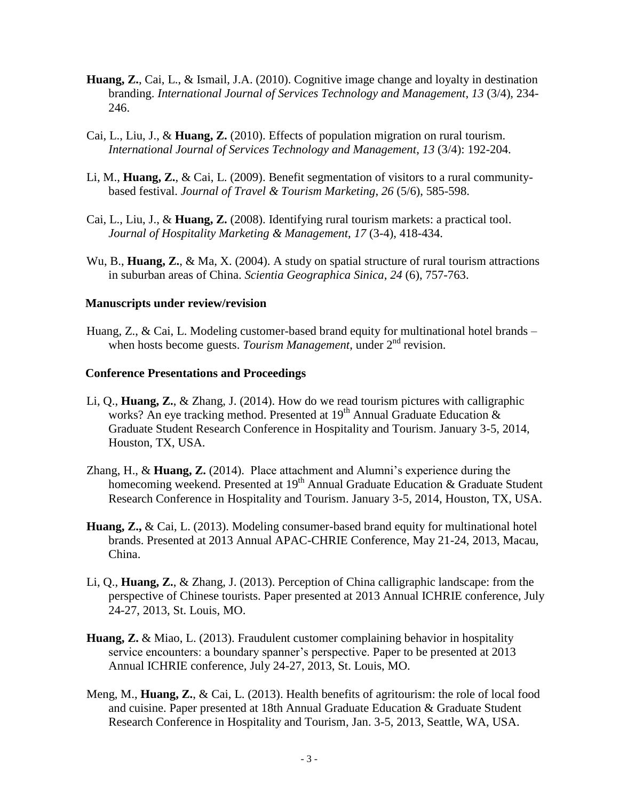- **Huang, Z.**, Cai, L., & Ismail, J.A. (2010). Cognitive image change and loyalty in destination branding. *International Journal of Services Technology and Management*, *13* (3/4), 234- 246.
- Cai, L., Liu, J., & **Huang, Z.** (2010). Effects of population migration on rural tourism. *International Journal of Services Technology and Management*, *13* (3/4): 192-204.
- Li, M., **Huang, Z.**, & Cai, L. (2009). Benefit segmentation of visitors to a rural communitybased festival. *Journal of Travel & Tourism Marketing*, *26* (5/6), 585-598.
- Cai, L., Liu, J., & **Huang, Z.** (2008). Identifying rural tourism markets: a practical tool. *Journal of Hospitality Marketing & Management*, *17* (3-4), 418-434.
- Wu, B., **Huang, Z.**, & Ma, X. (2004). A study on spatial structure of rural tourism attractions in suburban areas of China. *Scientia Geographica Sinica*, *24* (6), 757-763.

#### **Manuscripts under review/revision**

Huang, Z., & Cai, L. Modeling customer-based brand equity for multinational hotel brands – when hosts become guests. *Tourism Management*, under 2<sup>nd</sup> revision.

#### **Conference Presentations and Proceedings**

- Li, Q., **Huang, Z.**, & Zhang, J. (2014). How do we read tourism pictures with calligraphic works? An eye tracking method. Presented at  $19<sup>th</sup>$  Annual Graduate Education & Graduate Student Research Conference in Hospitality and Tourism. January 3-5, 2014, Houston, TX, USA.
- Zhang, H., & **Huang, Z.** (2014). Place attachment and Alumni's experience during the homecoming weekend. Presented at 19<sup>th</sup> Annual Graduate Education & Graduate Student Research Conference in Hospitality and Tourism. January 3-5, 2014, Houston, TX, USA.
- **Huang, Z.,** & Cai, L. (2013). Modeling consumer-based brand equity for multinational hotel brands. Presented at 2013 Annual APAC-CHRIE Conference, May 21-24, 2013, Macau, China.
- Li, Q., **Huang, Z.**, & Zhang, J. (2013). Perception of China calligraphic landscape: from the perspective of Chinese tourists. Paper presented at 2013 Annual ICHRIE conference, July 24-27, 2013, St. Louis, MO.
- **Huang, Z.** & Miao, L. (2013). Fraudulent customer complaining behavior in hospitality service encounters: a boundary spanner's perspective. Paper to be presented at 2013 Annual ICHRIE conference, July 24-27, 2013, St. Louis, MO.
- Meng, M., **Huang, Z.**, & Cai, L. (2013). Health benefits of agritourism: the role of local food and cuisine. Paper presented at 18th Annual Graduate Education & Graduate Student Research Conference in Hospitality and Tourism, Jan. 3-5, 2013, Seattle, WA, USA.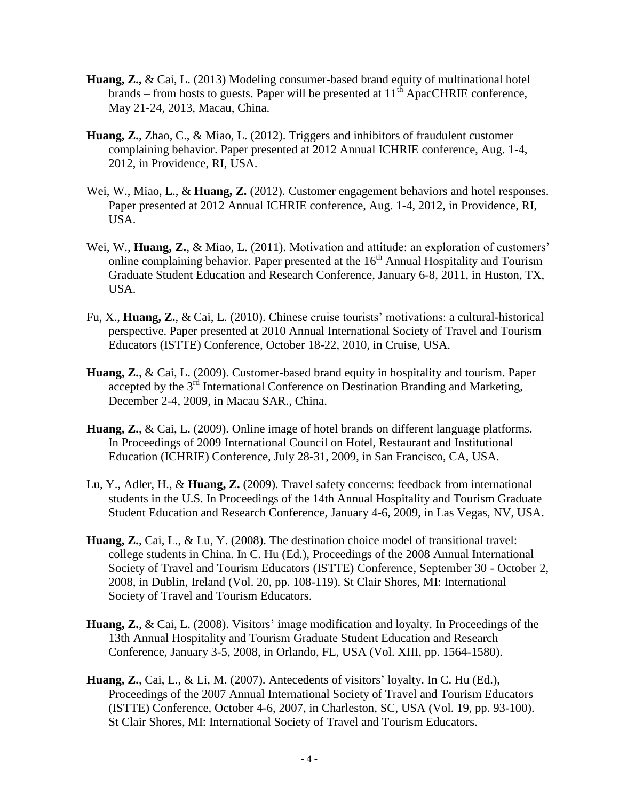- **Huang, Z.,** & Cai, L. (2013) Modeling consumer-based brand equity of multinational hotel brands – from hosts to guests. Paper will be presented at  $11<sup>th</sup>$  ApacCHRIE conference, May 21-24, 2013, Macau, China.
- **Huang, Z.**, Zhao, C., & Miao, L. (2012). Triggers and inhibitors of fraudulent customer complaining behavior. Paper presented at 2012 Annual ICHRIE conference, Aug. 1-4, 2012, in Providence, RI, USA.
- Wei, W., Miao, L., & **Huang, Z.** (2012). Customer engagement behaviors and hotel responses. Paper presented at 2012 Annual ICHRIE conference, Aug. 1-4, 2012, in Providence, RI, USA.
- Wei, W., **Huang, Z.**, & Miao, L. (2011). Motivation and attitude: an exploration of customers' online complaining behavior. Paper presented at the  $16<sup>th</sup>$  Annual Hospitality and Tourism Graduate Student Education and Research Conference, January 6-8, 2011, in Huston, TX, USA.
- Fu, X., **Huang, Z.**, & Cai, L. (2010). Chinese cruise tourists' motivations: a cultural-historical perspective. Paper presented at 2010 Annual International Society of Travel and Tourism Educators (ISTTE) Conference, October 18-22, 2010, in Cruise, USA.
- **Huang, Z.**, & Cai, L. (2009). Customer-based brand equity in hospitality and tourism. Paper accepted by the  $3<sup>rd</sup>$  International Conference on Destination Branding and Marketing, December 2-4, 2009, in Macau SAR., China.
- **Huang, Z.**, & Cai, L. (2009). Online image of hotel brands on different language platforms. In Proceedings of 2009 International Council on Hotel, Restaurant and Institutional Education (ICHRIE) Conference, July 28-31, 2009, in San Francisco, CA, USA.
- Lu, Y., Adler, H., & **Huang, Z.** (2009). Travel safety concerns: feedback from international students in the U.S. In Proceedings of the 14th Annual Hospitality and Tourism Graduate Student Education and Research Conference, January 4-6, 2009, in Las Vegas, NV, USA.
- **Huang, Z.**, Cai, L., & Lu, Y. (2008). The destination choice model of transitional travel: college students in China. In C. Hu (Ed.), Proceedings of the 2008 Annual International Society of Travel and Tourism Educators (ISTTE) Conference, September 30 - October 2, 2008, in Dublin, Ireland (Vol. 20, pp. 108-119). St Clair Shores, MI: International Society of Travel and Tourism Educators.
- **Huang, Z.**, & Cai, L. (2008). Visitors' image modification and loyalty. In Proceedings of the 13th Annual Hospitality and Tourism Graduate Student Education and Research Conference, January 3-5, 2008, in Orlando, FL, USA (Vol. XIII, pp. 1564-1580).
- **Huang, Z.**, Cai, L., & Li, M. (2007). Antecedents of visitors' loyalty. In C. Hu (Ed.), Proceedings of the 2007 Annual International Society of Travel and Tourism Educators (ISTTE) Conference, October 4-6, 2007, in Charleston, SC, USA (Vol. 19, pp. 93-100). St Clair Shores, MI: International Society of Travel and Tourism Educators.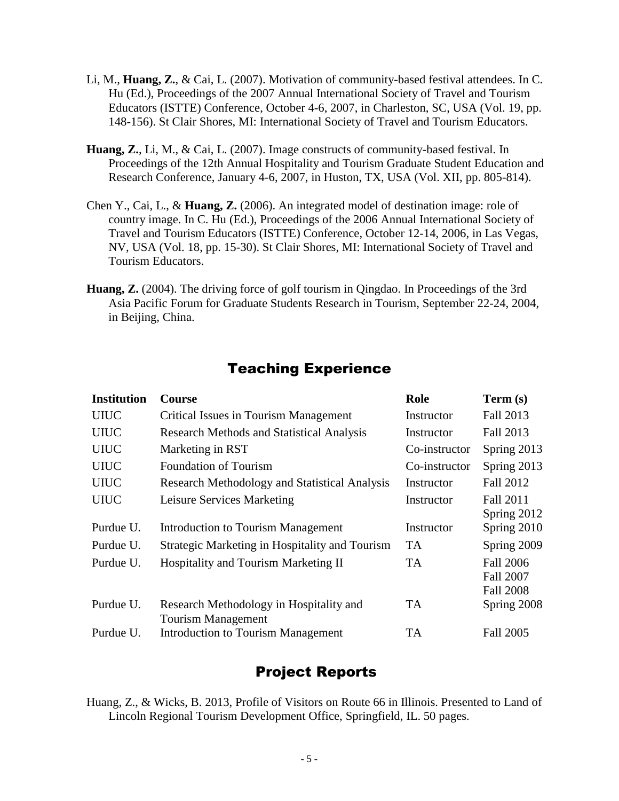- Li, M., **Huang, Z.**, & Cai, L. (2007). Motivation of community-based festival attendees. In C. Hu (Ed.), Proceedings of the 2007 Annual International Society of Travel and Tourism Educators (ISTTE) Conference, October 4-6, 2007, in Charleston, SC, USA (Vol. 19, pp. 148-156). St Clair Shores, MI: International Society of Travel and Tourism Educators.
- **Huang, Z.**, Li, M., & Cai, L. (2007). Image constructs of community-based festival. In Proceedings of the 12th Annual Hospitality and Tourism Graduate Student Education and Research Conference, January 4-6, 2007, in Huston, TX, USA (Vol. XII, pp. 805-814).
- Chen Y., Cai, L., & **Huang, Z.** (2006). An integrated model of destination image: role of country image. In C. Hu (Ed.), Proceedings of the 2006 Annual International Society of Travel and Tourism Educators (ISTTE) Conference, October 12-14, 2006, in Las Vegas, NV, USA (Vol. 18, pp. 15-30). St Clair Shores, MI: International Society of Travel and Tourism Educators.
- **Huang, Z.** (2004). The driving force of golf tourism in Qingdao. In Proceedings of the 3rd Asia Pacific Forum for Graduate Students Research in Tourism, September 22-24, 2004, in Beijing, China.

| <b>Teaching Experience</b> |
|----------------------------|
|                            |

| <b>Institution</b> | <b>Course</b>                                                        | Role          | Term (s)                                                 |
|--------------------|----------------------------------------------------------------------|---------------|----------------------------------------------------------|
| <b>UIUC</b>        | Critical Issues in Tourism Management                                | Instructor    | Fall 2013                                                |
| <b>UIUC</b>        | <b>Research Methods and Statistical Analysis</b>                     | Instructor    | Fall 2013                                                |
| <b>UIUC</b>        | Marketing in RST                                                     | Co-instructor | Spring 2013                                              |
| <b>UIUC</b>        | <b>Foundation of Tourism</b>                                         | Co-instructor | Spring 2013                                              |
| <b>UIUC</b>        | <b>Research Methodology and Statistical Analysis</b>                 | Instructor    | <b>Fall 2012</b>                                         |
| <b>UIUC</b>        | Leisure Services Marketing                                           | Instructor    | Fall 2011<br>Spring 2012                                 |
| Purdue U.          | <b>Introduction to Tourism Management</b>                            | Instructor    | Spring 2010                                              |
| Purdue U.          | Strategic Marketing in Hospitality and Tourism                       | <b>TA</b>     | Spring 2009                                              |
| Purdue U.          | Hospitality and Tourism Marketing II                                 | <b>TA</b>     | <b>Fall 2006</b><br><b>Fall 2007</b><br><b>Fall 2008</b> |
| Purdue U.          | Research Methodology in Hospitality and<br><b>Tourism Management</b> | <b>TA</b>     | Spring 2008                                              |
| Purdue U.          | <b>Introduction to Tourism Management</b>                            | <b>TA</b>     | <b>Fall 2005</b>                                         |

# Project Reports

Huang, Z., & Wicks, B. 2013, Profile of Visitors on Route 66 in Illinois. Presented to Land of Lincoln Regional Tourism Development Office, Springfield, IL. 50 pages.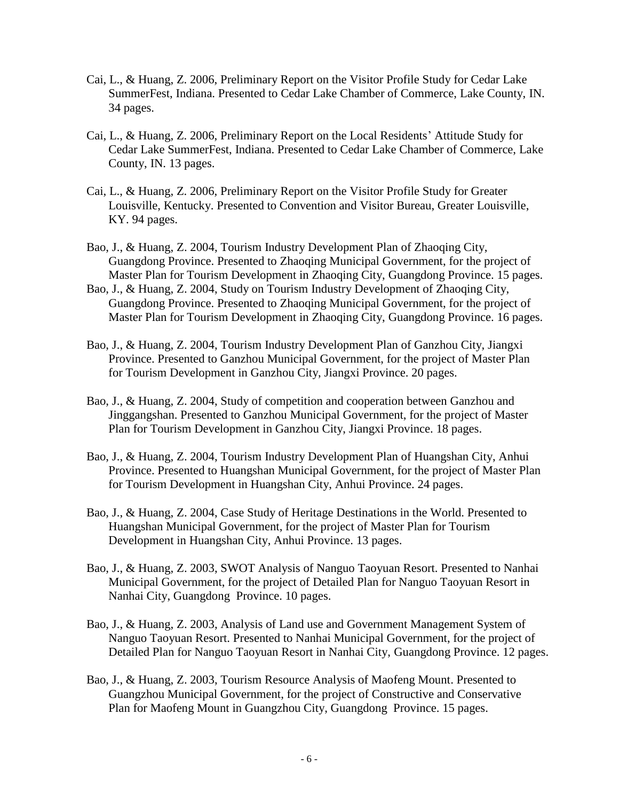- Cai, L., & Huang, Z. 2006, Preliminary Report on the Visitor Profile Study for Cedar Lake SummerFest, Indiana. Presented to Cedar Lake Chamber of Commerce, Lake County, IN. 34 pages.
- Cai, L., & Huang, Z. 2006, Preliminary Report on the Local Residents' Attitude Study for Cedar Lake SummerFest, Indiana. Presented to Cedar Lake Chamber of Commerce, Lake County, IN. 13 pages.
- Cai, L., & Huang, Z. 2006, Preliminary Report on the Visitor Profile Study for Greater Louisville, Kentucky. Presented to Convention and Visitor Bureau, Greater Louisville, KY. 94 pages.
- Bao, J., & Huang, Z. 2004, Tourism Industry Development Plan of Zhaoqing City, Guangdong Province. Presented to Zhaoqing Municipal Government, for the project of Master Plan for Tourism Development in Zhaoqing City, Guangdong Province. 15 pages.
- Bao, J., & Huang, Z. 2004, Study on Tourism Industry Development of Zhaoqing City, Guangdong Province. Presented to Zhaoqing Municipal Government, for the project of Master Plan for Tourism Development in Zhaoqing City, Guangdong Province. 16 pages.
- Bao, J., & Huang, Z. 2004, Tourism Industry Development Plan of Ganzhou City, Jiangxi Province. Presented to Ganzhou Municipal Government, for the project of Master Plan for Tourism Development in Ganzhou City, Jiangxi Province. 20 pages.
- Bao, J., & Huang, Z. 2004, Study of competition and cooperation between Ganzhou and Jinggangshan. Presented to Ganzhou Municipal Government, for the project of Master Plan for Tourism Development in Ganzhou City, Jiangxi Province. 18 pages.
- Bao, J., & Huang, Z. 2004, Tourism Industry Development Plan of Huangshan City, Anhui Province. Presented to Huangshan Municipal Government, for the project of Master Plan for Tourism Development in Huangshan City, Anhui Province. 24 pages.
- Bao, J., & Huang, Z. 2004, Case Study of Heritage Destinations in the World. Presented to Huangshan Municipal Government, for the project of Master Plan for Tourism Development in Huangshan City, Anhui Province. 13 pages.
- Bao, J., & Huang, Z. 2003, SWOT Analysis of Nanguo Taoyuan Resort. Presented to Nanhai Municipal Government, for the project of Detailed Plan for Nanguo Taoyuan Resort in Nanhai City, Guangdong Province. 10 pages.
- Bao, J., & Huang, Z. 2003, Analysis of Land use and Government Management System of Nanguo Taoyuan Resort. Presented to Nanhai Municipal Government, for the project of Detailed Plan for Nanguo Taoyuan Resort in Nanhai City, Guangdong Province. 12 pages.
- Bao, J., & Huang, Z. 2003, Tourism Resource Analysis of Maofeng Mount. Presented to Guangzhou Municipal Government, for the project of Constructive and Conservative Plan for Maofeng Mount in Guangzhou City, Guangdong Province. 15 pages.